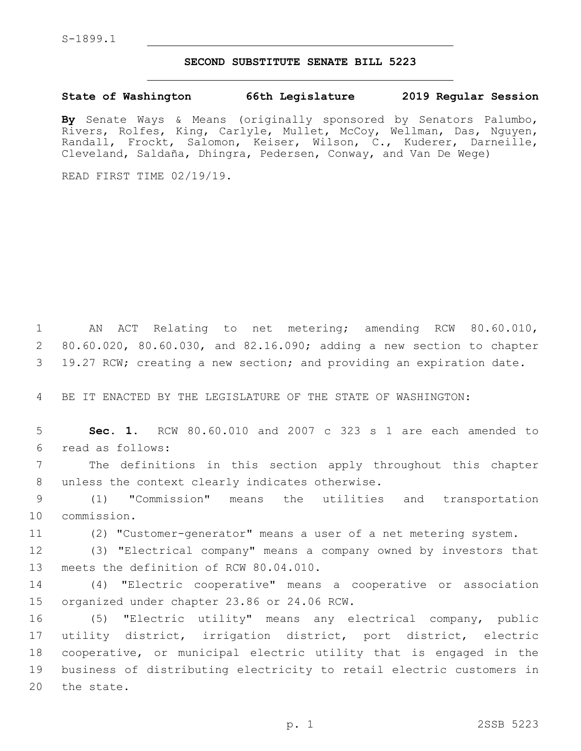## **SECOND SUBSTITUTE SENATE BILL 5223**

## **State of Washington 66th Legislature 2019 Regular Session**

**By** Senate Ways & Means (originally sponsored by Senators Palumbo, Rivers, Rolfes, King, Carlyle, Mullet, McCoy, Wellman, Das, Nguyen, Randall, Frockt, Salomon, Keiser, Wilson, C., Kuderer, Darneille, Cleveland, Saldaña, Dhingra, Pedersen, Conway, and Van De Wege)

READ FIRST TIME 02/19/19.

1 AN ACT Relating to net metering; amending RCW 80.60.010, 2 80.60.020, 80.60.030, and 82.16.090; adding a new section to chapter 3 19.27 RCW; creating a new section; and providing an expiration date.

4 BE IT ENACTED BY THE LEGISLATURE OF THE STATE OF WASHINGTON:

5 **Sec. 1.** RCW 80.60.010 and 2007 c 323 s 1 are each amended to read as follows:6

7 The definitions in this section apply throughout this chapter 8 unless the context clearly indicates otherwise.

9 (1) "Commission" means the utilities and transportation 10 commission.

11 (2) "Customer-generator" means a user of a net metering system.

12 (3) "Electrical company" means a company owned by investors that 13 meets the definition of RCW 80.04.010.

14 (4) "Electric cooperative" means a cooperative or association 15 organized under chapter 23.86 or 24.06 RCW.

 (5) "Electric utility" means any electrical company, public utility district, irrigation district, port district, electric cooperative, or municipal electric utility that is engaged in the business of distributing electricity to retail electric customers in 20 the state.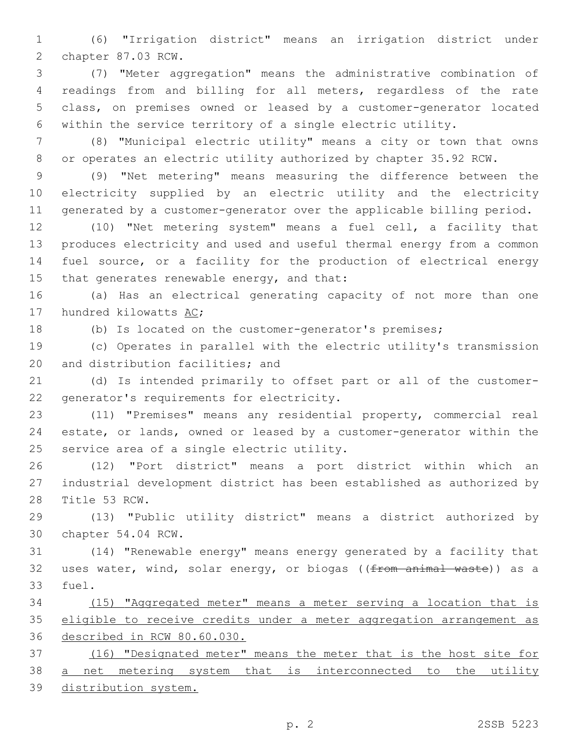(6) "Irrigation district" means an irrigation district under 2 chapter 87.03 RCW.

 (7) "Meter aggregation" means the administrative combination of readings from and billing for all meters, regardless of the rate class, on premises owned or leased by a customer-generator located within the service territory of a single electric utility.

 (8) "Municipal electric utility" means a city or town that owns or operates an electric utility authorized by chapter 35.92 RCW.

 (9) "Net metering" means measuring the difference between the electricity supplied by an electric utility and the electricity generated by a customer-generator over the applicable billing period.

 (10) "Net metering system" means a fuel cell, a facility that produces electricity and used and useful thermal energy from a common fuel source, or a facility for the production of electrical energy 15 that generates renewable energy, and that:

 (a) Has an electrical generating capacity of not more than one 17 hundred kilowatts AC;

(b) Is located on the customer-generator's premises;

 (c) Operates in parallel with the electric utility's transmission 20 and distribution facilities; and

 (d) Is intended primarily to offset part or all of the customer-22 generator's requirements for electricity.

 (11) "Premises" means any residential property, commercial real estate, or lands, owned or leased by a customer-generator within the 25 service area of a single electric utility.

 (12) "Port district" means a port district within which an industrial development district has been established as authorized by 28 Title 53 RCW.

 (13) "Public utility district" means a district authorized by 30 chapter 54.04 RCW.

 (14) "Renewable energy" means energy generated by a facility that 32 uses water, wind, solar energy, or biogas ((from animal waste)) as a 33 fuel.

 (15) "Aggregated meter" means a meter serving a location that is eligible to receive credits under a meter aggregation arrangement as described in RCW 80.60.030.

 (16) "Designated meter" means the meter that is the host site for 38 <u>a net metering system that is interconnected to the utility</u> distribution system.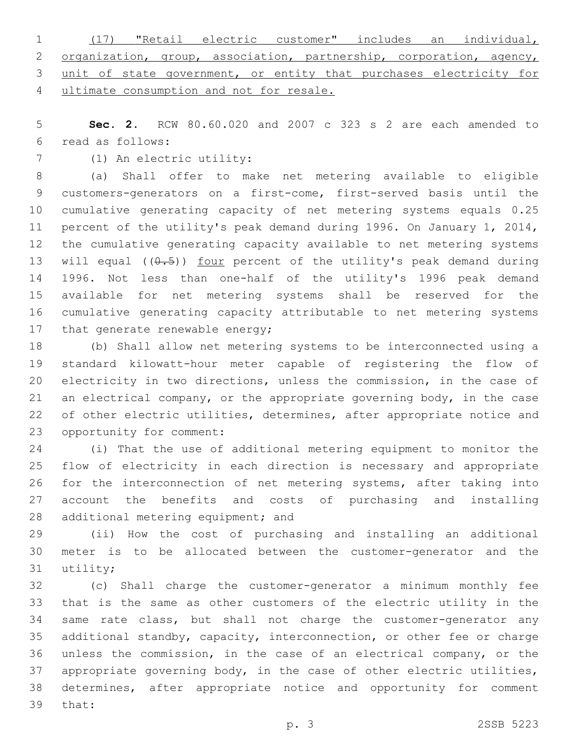|  | 1 (17) "Retail electric customer" includes an individual,             |  |  |  |  |
|--|-----------------------------------------------------------------------|--|--|--|--|
|  | 2 organization, group, association, partnership, corporation, agency, |  |  |  |  |
|  | 3 unit of state government, or entity that purchases electricity for  |  |  |  |  |
|  | 4 ultimate consumption and not for resale.                            |  |  |  |  |

 **Sec. 2.** RCW 80.60.020 and 2007 c 323 s 2 are each amended to read as follows:6

7 (1) An electric utility:

 (a) Shall offer to make net metering available to eligible customers-generators on a first-come, first-served basis until the cumulative generating capacity of net metering systems equals 0.25 percent of the utility's peak demand during 1996. On January 1, 2014, the cumulative generating capacity available to net metering systems 13 will equal  $((0.5))$  four percent of the utility's peak demand during 1996. Not less than one-half of the utility's 1996 peak demand available for net metering systems shall be reserved for the cumulative generating capacity attributable to net metering systems 17 that generate renewable energy;

 (b) Shall allow net metering systems to be interconnected using a standard kilowatt-hour meter capable of registering the flow of electricity in two directions, unless the commission, in the case of an electrical company, or the appropriate governing body, in the case 22 of other electric utilities, determines, after appropriate notice and 23 opportunity for comment:

 (i) That the use of additional metering equipment to monitor the flow of electricity in each direction is necessary and appropriate for the interconnection of net metering systems, after taking into account the benefits and costs of purchasing and installing 28 additional metering equipment; and

 (ii) How the cost of purchasing and installing an additional meter is to be allocated between the customer-generator and the 31 utility;

 (c) Shall charge the customer-generator a minimum monthly fee that is the same as other customers of the electric utility in the same rate class, but shall not charge the customer-generator any additional standby, capacity, interconnection, or other fee or charge unless the commission, in the case of an electrical company, or the appropriate governing body, in the case of other electric utilities, determines, after appropriate notice and opportunity for comment 39 that: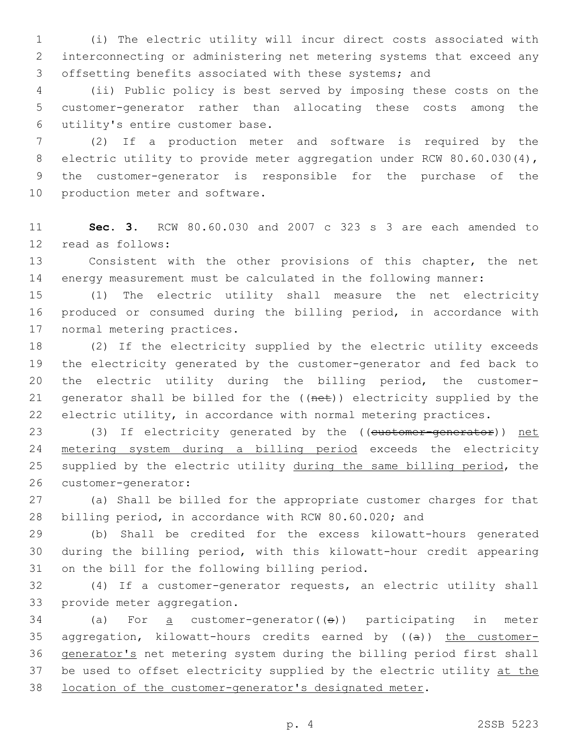(i) The electric utility will incur direct costs associated with interconnecting or administering net metering systems that exceed any offsetting benefits associated with these systems; and

 (ii) Public policy is best served by imposing these costs on the customer-generator rather than allocating these costs among the utility's entire customer base.6

 (2) If a production meter and software is required by the 8 electric utility to provide meter aggregation under RCW 80.60.030(4), the customer-generator is responsible for the purchase of the 10 production meter and software.

 **Sec. 3.** RCW 80.60.030 and 2007 c 323 s 3 are each amended to 12 read as follows:

 Consistent with the other provisions of this chapter, the net energy measurement must be calculated in the following manner:

 (1) The electric utility shall measure the net electricity produced or consumed during the billing period, in accordance with 17 normal metering practices.

 (2) If the electricity supplied by the electric utility exceeds the electricity generated by the customer-generator and fed back to the electric utility during the billing period, the customer-21 generator shall be billed for the ((net)) electricity supplied by the electric utility, in accordance with normal metering practices.

23 (3) If electricity generated by the ((customer-generator)) net metering system during a billing period exceeds the electricity 25 supplied by the electric utility during the same billing period, the 26 customer-generator:

 (a) Shall be billed for the appropriate customer charges for that billing period, in accordance with RCW 80.60.020; and

 (b) Shall be credited for the excess kilowatt-hours generated during the billing period, with this kilowatt-hour credit appearing 31 on the bill for the following billing period.

 (4) If a customer-generator requests, an electric utility shall 33 provide meter aggregation.

 (a) For <u>a</u> customer-generator( $(5)$ ) participating in meter 35 aggregation, kilowatt-hours credits earned by  $((a))$  the customer- generator's net metering system during the billing period first shall 37 be used to offset electricity supplied by the electric utility at the location of the customer-generator's designated meter.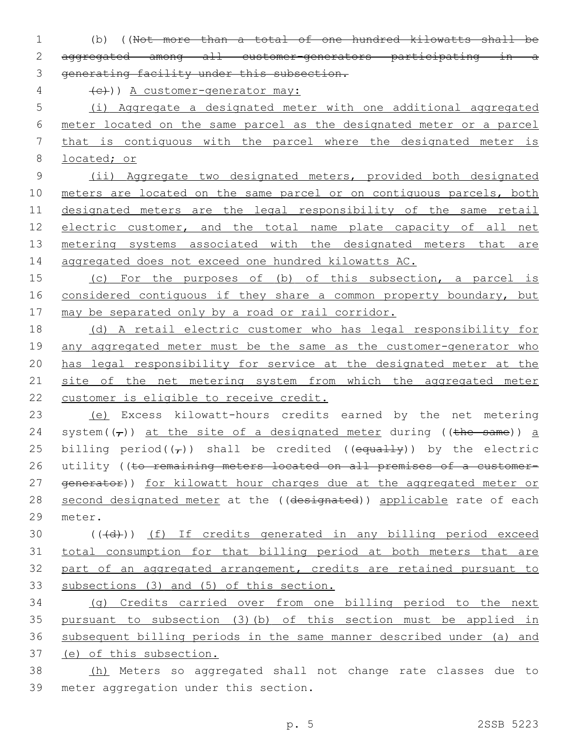(b) ((Not more than a total of one hundred kilowatts shall be aggregated among all customer-generators participating in a 3 generating facility under this subsection.

 $\{e\}$ )) A customer-generator may:

 (i) Aggregate a designated meter with one additional aggregated meter located on the same parcel as the designated meter or a parcel that is contiguous with the parcel where the designated meter is located; or

 (ii) Aggregate two designated meters, provided both designated 10 meters are located on the same parcel or on contiguous parcels, both designated meters are the legal responsibility of the same retail electric customer, and the total name plate capacity of all net metering systems associated with the designated meters that are aggregated does not exceed one hundred kilowatts AC.

 (c) For the purposes of (b) of this subsection, a parcel is 16 considered contiguous if they share a common property boundary, but may be separated only by a road or rail corridor.

 (d) A retail electric customer who has legal responsibility for 19 any aggregated meter must be the same as the customer-generator who has legal responsibility for service at the designated meter at the 21 site of the net metering system from which the aggregated meter customer is eligible to receive credit.

 (e) Excess kilowatt-hours credits earned by the net metering 24 system( $(\tau)$ ) at the site of a designated meter during ((the same)) a 25 billing period( $(\tau)$ ) shall be credited ((equally)) by the electric 26 utility ((to remaining meters located on all premises of a customer-27 generator)) for kilowatt hour charges due at the aggregated meter or 28 second designated meter at the ((designated)) applicable rate of each 29 meter.

30 (((d))) (f) If credits generated in any billing period exceed total consumption for that billing period at both meters that are part of an aggregated arrangement, credits are retained pursuant to subsections (3) and (5) of this section.

 (g) Credits carried over from one billing period to the next pursuant to subsection (3)(b) of this section must be applied in subsequent billing periods in the same manner described under (a) and (e) of this subsection.

 (h) Meters so aggregated shall not change rate classes due to 39 meter aggregation under this section.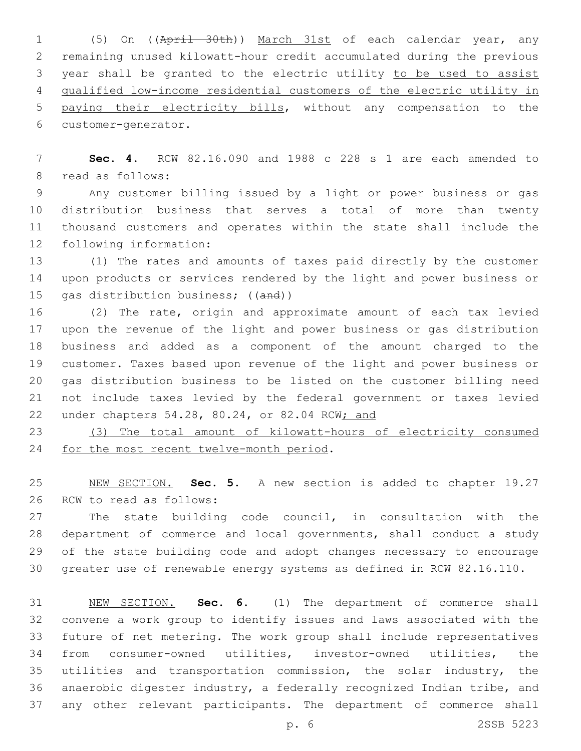(5) On ((April 30th)) March 31st of each calendar year, any remaining unused kilowatt-hour credit accumulated during the previous year shall be granted to the electric utility to be used to assist qualified low-income residential customers of the electric utility in paying their electricity bills, without any compensation to the 6 customer-generator.

 **Sec. 4.** RCW 82.16.090 and 1988 c 228 s 1 are each amended to 8 read as follows:

 Any customer billing issued by a light or power business or gas distribution business that serves a total of more than twenty thousand customers and operates within the state shall include the 12 following information:

 (1) The rates and amounts of taxes paid directly by the customer upon products or services rendered by the light and power business or 15 gas distribution business; ((and))

 (2) The rate, origin and approximate amount of each tax levied upon the revenue of the light and power business or gas distribution business and added as a component of the amount charged to the customer. Taxes based upon revenue of the light and power business or gas distribution business to be listed on the customer billing need not include taxes levied by the federal government or taxes levied under chapters 54.28, 80.24, or 82.04 RCW; and

 (3) The total amount of kilowatt-hours of electricity consumed 24 for the most recent twelve-month period.

 NEW SECTION. **Sec. 5.** A new section is added to chapter 19.27 26 RCW to read as follows:

 The state building code council, in consultation with the department of commerce and local governments, shall conduct a study of the state building code and adopt changes necessary to encourage greater use of renewable energy systems as defined in RCW 82.16.110.

 NEW SECTION. **Sec. 6.** (1) The department of commerce shall convene a work group to identify issues and laws associated with the future of net metering. The work group shall include representatives from consumer-owned utilities, investor-owned utilities, the utilities and transportation commission, the solar industry, the anaerobic digester industry, a federally recognized Indian tribe, and any other relevant participants. The department of commerce shall

p. 6 2SSB 5223